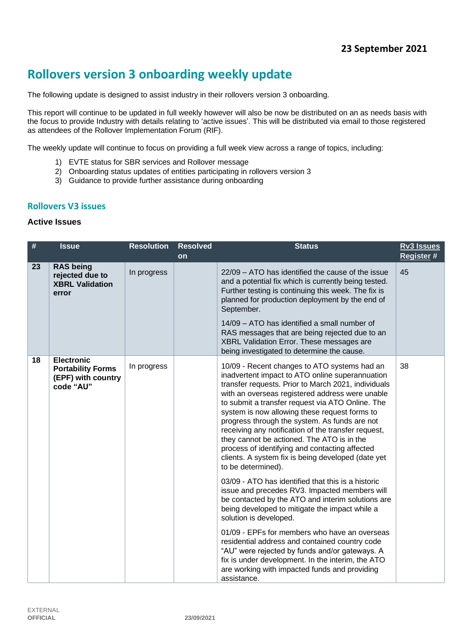# **Rollovers version 3 onboarding weekly update**

The following update is designed to assist industry in their rollovers version 3 onboarding.

This report will continue to be updated in full weekly however will also be now be distributed on an as needs basis with the focus to provide Industry with details relating to 'active issues'. This will be distributed via email to those registered as attendees of the Rollover Implementation Forum (RIF).

The weekly update will continue to focus on providing a full week view across a range of topics, including:

- 1) EVTE status for SBR services and Rollover message
- 2) Onboarding status updates of entities participating in rollovers version 3
- 3) Guidance to provide further assistance during onboarding

#### **Rollovers V3 issues**

## **Active Issues**

| #  | <b>Issue</b>                                                                     | <b>Resolution</b> | <b>Resolved</b> | <b>Status</b>                                                                                                                                                                                                                                                                                                                                                                                                                                                                                                                                                                                                                                                                                                                                                                                                    | <b>Rv3 Issues</b> |
|----|----------------------------------------------------------------------------------|-------------------|-----------------|------------------------------------------------------------------------------------------------------------------------------------------------------------------------------------------------------------------------------------------------------------------------------------------------------------------------------------------------------------------------------------------------------------------------------------------------------------------------------------------------------------------------------------------------------------------------------------------------------------------------------------------------------------------------------------------------------------------------------------------------------------------------------------------------------------------|-------------------|
|    |                                                                                  |                   | on              |                                                                                                                                                                                                                                                                                                                                                                                                                                                                                                                                                                                                                                                                                                                                                                                                                  | Register #        |
| 23 | <b>RAS being</b><br>rejected due to<br><b>XBRL Validation</b><br>error           | In progress       |                 | 22/09 - ATO has identified the cause of the issue<br>and a potential fix which is currently being tested.<br>Further testing is continuing this week. The fix is<br>planned for production deployment by the end of<br>September.                                                                                                                                                                                                                                                                                                                                                                                                                                                                                                                                                                                | 45                |
|    |                                                                                  |                   |                 | 14/09 - ATO has identified a small number of<br>RAS messages that are being rejected due to an<br>XBRL Validation Error. These messages are<br>being investigated to determine the cause.                                                                                                                                                                                                                                                                                                                                                                                                                                                                                                                                                                                                                        |                   |
| 18 | <b>Electronic</b><br><b>Portability Forms</b><br>(EPF) with country<br>code "AU" | In progress       |                 | 10/09 - Recent changes to ATO systems had an<br>inadvertent impact to ATO online superannuation<br>transfer requests. Prior to March 2021, individuals<br>with an overseas registered address were unable<br>to submit a transfer request via ATO Online. The<br>system is now allowing these request forms to<br>progress through the system. As funds are not<br>receiving any notification of the transfer request,<br>they cannot be actioned. The ATO is in the<br>process of identifying and contacting affected<br>clients. A system fix is being developed (date yet<br>to be determined).<br>03/09 - ATO has identified that this is a historic<br>issue and precedes RV3. Impacted members will<br>be contacted by the ATO and interim solutions are<br>being developed to mitigate the impact while a | 38                |
|    |                                                                                  |                   |                 | solution is developed.<br>01/09 - EPFs for members who have an overseas<br>residential address and contained country code<br>"AU" were rejected by funds and/or gateways. A                                                                                                                                                                                                                                                                                                                                                                                                                                                                                                                                                                                                                                      |                   |
|    |                                                                                  |                   |                 | fix is under development. In the interim, the ATO<br>are working with impacted funds and providing<br>assistance.                                                                                                                                                                                                                                                                                                                                                                                                                                                                                                                                                                                                                                                                                                |                   |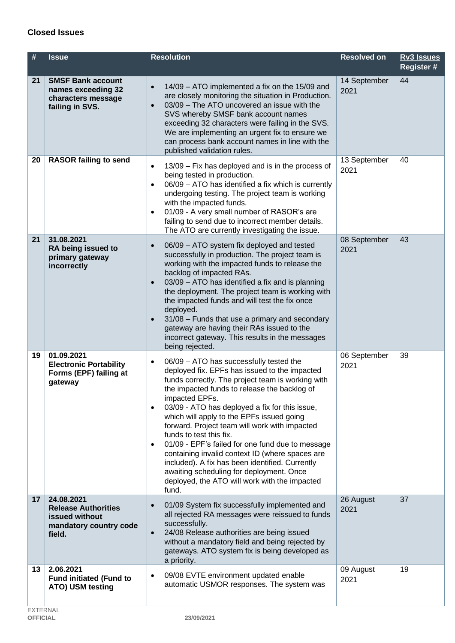## **Closed Issues**

| #  | <b>Issue</b>                                                                                   | <b>Resolution</b>                                                                                                                                                                                                                                                                                                                                                                                                                                                                                                                                                                                                                                                                    | <b>Resolved on</b>   | <b>Rv3 Issues</b><br>Register # |
|----|------------------------------------------------------------------------------------------------|--------------------------------------------------------------------------------------------------------------------------------------------------------------------------------------------------------------------------------------------------------------------------------------------------------------------------------------------------------------------------------------------------------------------------------------------------------------------------------------------------------------------------------------------------------------------------------------------------------------------------------------------------------------------------------------|----------------------|---------------------------------|
| 21 | <b>SMSF Bank account</b><br>names exceeding 32<br>characters message<br>failing in SVS.        | 14/09 - ATO implemented a fix on the 15/09 and<br>$\bullet$<br>are closely monitoring the situation in Production.<br>03/09 - The ATO uncovered an issue with the<br>$\bullet$<br>SVS whereby SMSF bank account names<br>exceeding 32 characters were failing in the SVS.<br>We are implementing an urgent fix to ensure we<br>can process bank account names in line with the<br>published validation rules.                                                                                                                                                                                                                                                                        | 14 September<br>2021 | 44                              |
| 20 | <b>RASOR failing to send</b>                                                                   | 13/09 - Fix has deployed and is in the process of<br>$\bullet$<br>being tested in production.<br>06/09 - ATO has identified a fix which is currently<br>$\bullet$<br>undergoing testing. The project team is working<br>with the impacted funds.<br>01/09 - A very small number of RASOR's are<br>$\bullet$<br>failing to send due to incorrect member details.<br>The ATO are currently investigating the issue.                                                                                                                                                                                                                                                                    | 13 September<br>2021 | 40                              |
| 21 | 31.08.2021<br>RA being issued to<br>primary gateway<br>incorrectly                             | 06/09 - ATO system fix deployed and tested<br>$\bullet$<br>successfully in production. The project team is<br>working with the impacted funds to release the<br>backlog of impacted RAs.<br>03/09 - ATO has identified a fix and is planning<br>$\bullet$<br>the deployment. The project team is working with<br>the impacted funds and will test the fix once<br>deployed.<br>31/08 - Funds that use a primary and secondary<br>$\bullet$<br>gateway are having their RAs issued to the<br>incorrect gateway. This results in the messages<br>being rejected.                                                                                                                       | 08 September<br>2021 | 43                              |
| 19 | 01.09.2021<br><b>Electronic Portability</b><br>Forms (EPF) failing at<br>gateway               | 06/09 - ATO has successfully tested the<br>$\bullet$<br>deployed fix. EPFs has issued to the impacted<br>funds correctly. The project team is working with<br>the impacted funds to release the backlog of<br>impacted EPFs.<br>03/09 - ATO has deployed a fix for this issue,<br>which will apply to the EPFs issued going<br>forward. Project team will work with impacted<br>funds to test this fix.<br>01/09 - EPF's failed for one fund due to message<br>$\bullet$<br>containing invalid context ID (where spaces are<br>included). A fix has been identified. Currently<br>awaiting scheduling for deployment. Once<br>deployed, the ATO will work with the impacted<br>fund. | 06 September<br>2021 | 39                              |
| 17 | 24.08.2021<br><b>Release Authorities</b><br>issued without<br>mandatory country code<br>field. | 01/09 System fix successfully implemented and<br>$\bullet$<br>all rejected RA messages were reissued to funds<br>successfully.<br>24/08 Release authorities are being issued<br>$\bullet$<br>without a mandatory field and being rejected by<br>gateways. ATO system fix is being developed as<br>a priority.                                                                                                                                                                                                                                                                                                                                                                        | 26 August<br>2021    | 37                              |
| 13 | 2.06.2021<br><b>Fund initiated (Fund to</b><br>ATO) USM testing                                | 09/08 EVTE environment updated enable<br>$\bullet$<br>automatic USMOR responses. The system was                                                                                                                                                                                                                                                                                                                                                                                                                                                                                                                                                                                      | 09 August<br>2021    | 19                              |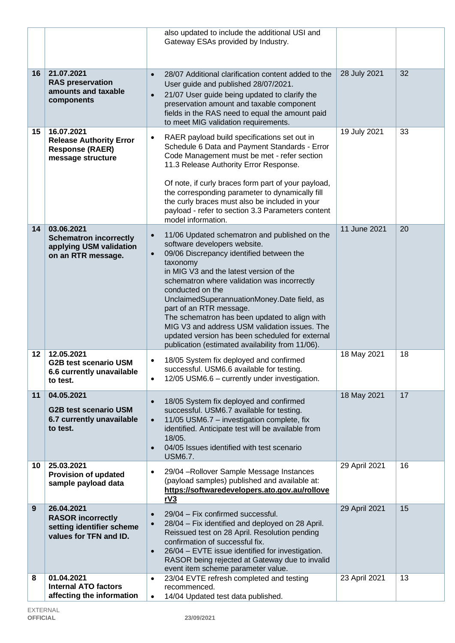|    |                                                                                               | also updated to include the additional USI and<br>Gateway ESAs provided by Industry.                                                                                                                                                                                                                                                                                                                                                                                                                                                                             |               |    |
|----|-----------------------------------------------------------------------------------------------|------------------------------------------------------------------------------------------------------------------------------------------------------------------------------------------------------------------------------------------------------------------------------------------------------------------------------------------------------------------------------------------------------------------------------------------------------------------------------------------------------------------------------------------------------------------|---------------|----|
| 16 | 21.07.2021<br><b>RAS</b> preservation<br>amounts and taxable<br>components                    | 28/07 Additional clarification content added to the<br>$\bullet$<br>User guide and published 28/07/2021.<br>21/07 User guide being updated to clarify the<br>$\bullet$<br>preservation amount and taxable component<br>fields in the RAS need to equal the amount paid<br>to meet MIG validation requirements.                                                                                                                                                                                                                                                   | 28 July 2021  | 32 |
| 15 | 16.07.2021<br><b>Release Authority Error</b><br><b>Response (RAER)</b><br>message structure   | RAER payload build specifications set out in<br>$\bullet$<br>Schedule 6 Data and Payment Standards - Error<br>Code Management must be met - refer section<br>11.3 Release Authority Error Response.<br>Of note, if curly braces form part of your payload,<br>the corresponding parameter to dynamically fill<br>the curly braces must also be included in your<br>payload - refer to section 3.3 Parameters content<br>model information.                                                                                                                       | 19 July 2021  | 33 |
| 14 | 03.06.2021<br><b>Schematron incorrectly</b><br>applying USM validation<br>on an RTR message.  | 11/06 Updated schematron and published on the<br>$\bullet$<br>software developers website.<br>09/06 Discrepancy identified between the<br>$\bullet$<br>taxonomy<br>in MIG V3 and the latest version of the<br>schematron where validation was incorrectly<br>conducted on the<br>UnclaimedSuperannuationMoney.Date field, as<br>part of an RTR message.<br>The schematron has been updated to align with<br>MIG V3 and address USM validation issues. The<br>updated version has been scheduled for external<br>publication (estimated availability from 11/06). | 11 June 2021  | 20 |
| 12 | 12.05.2021<br><b>G2B test scenario USM</b><br>6.6 currently unavailable<br>to test.           | 18/05 System fix deployed and confirmed<br>$\bullet$<br>successful. USM6.6 available for testing.<br>12/05 USM6.6 - currently under investigation.<br>$\bullet$                                                                                                                                                                                                                                                                                                                                                                                                  | 18 May 2021   | 18 |
| 11 | 04.05.2021<br><b>G2B test scenario USM</b><br>6.7 currently unavailable<br>to test.           | 18/05 System fix deployed and confirmed<br>$\bullet$<br>successful. USM6.7 available for testing.<br>11/05 USM6.7 - investigation complete, fix<br>$\bullet$<br>identified. Anticipate test will be available from<br>18/05.<br>04/05 Issues identified with test scenario<br>$\bullet$<br><b>USM6.7.</b>                                                                                                                                                                                                                                                        | 18 May 2021   | 17 |
| 10 | 25.03.2021<br><b>Provision of updated</b><br>sample payload data                              | 29/04 - Rollover Sample Message Instances<br>$\bullet$<br>(payload samples) published and available at:<br>https://softwaredevelopers.ato.gov.au/rollove<br><u>rV3</u>                                                                                                                                                                                                                                                                                                                                                                                           | 29 April 2021 | 16 |
| 9  | 26.04.2021<br><b>RASOR incorrectly</b><br>setting identifier scheme<br>values for TFN and ID. | 29/04 - Fix confirmed successful.<br>$\bullet$<br>28/04 - Fix identified and deployed on 28 April.<br>$\bullet$<br>Reissued test on 28 April. Resolution pending<br>confirmation of successful fix.<br>26/04 - EVTE issue identified for investigation.<br>$\bullet$<br>RASOR being rejected at Gateway due to invalid<br>event item scheme parameter value.                                                                                                                                                                                                     | 29 April 2021 | 15 |
| 8  | 01.04.2021<br><b>Internal ATO factors</b><br>affecting the information                        | 23/04 EVTE refresh completed and testing<br>$\bullet$<br>recommenced.<br>14/04 Updated test data published.<br>$\bullet$                                                                                                                                                                                                                                                                                                                                                                                                                                         | 23 April 2021 | 13 |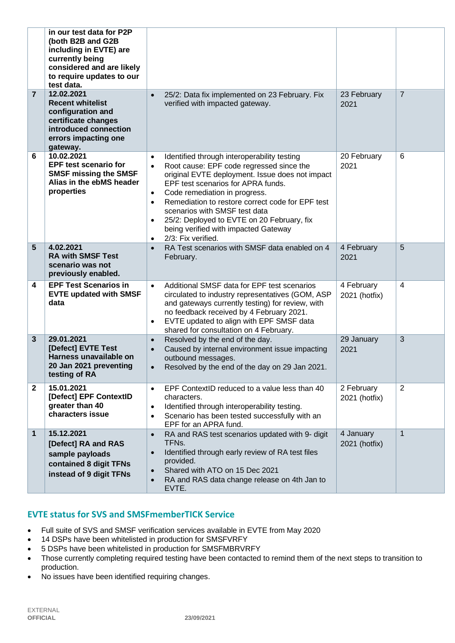|                | in our test data for P2P<br>(both B2B and G2B<br>including in EVTE) are<br>currently being<br>considered and are likely<br>to require updates to our<br>test data. |                                                                            |                                                                                                                                                                                                                                                                                                                                                                                                                    |                             |                |
|----------------|--------------------------------------------------------------------------------------------------------------------------------------------------------------------|----------------------------------------------------------------------------|--------------------------------------------------------------------------------------------------------------------------------------------------------------------------------------------------------------------------------------------------------------------------------------------------------------------------------------------------------------------------------------------------------------------|-----------------------------|----------------|
| $\overline{7}$ | 12.02.2021<br><b>Recent whitelist</b><br>configuration and<br>certificate changes<br>introduced connection<br>errors impacting one<br>gateway.                     | $\bullet$                                                                  | 25/2: Data fix implemented on 23 February. Fix<br>verified with impacted gateway.                                                                                                                                                                                                                                                                                                                                  | 23 February<br>2021         | $\overline{7}$ |
| 6              | 10.02.2021<br><b>EPF test scenario for</b><br><b>SMSF missing the SMSF</b><br>Alias in the ebMS header<br>properties                                               | $\bullet$<br>$\bullet$<br>$\bullet$<br>$\bullet$<br>$\bullet$<br>$\bullet$ | Identified through interoperability testing<br>Root cause: EPF code regressed since the<br>original EVTE deployment. Issue does not impact<br>EPF test scenarios for APRA funds.<br>Code remediation in progress.<br>Remediation to restore correct code for EPF test<br>scenarios with SMSF test data<br>25/2: Deployed to EVTE on 20 February, fix<br>being verified with impacted Gateway<br>2/3: Fix verified. | 20 February<br>2021         | 6              |
| 5              | 4.02.2021<br><b>RA with SMSF Test</b><br>scenario was not<br>previously enabled.                                                                                   | $\bullet$                                                                  | RA Test scenarios with SMSF data enabled on 4<br>February.                                                                                                                                                                                                                                                                                                                                                         | 4 February<br>2021          | 5              |
| 4              | <b>EPF Test Scenarios in</b><br><b>EVTE updated with SMSF</b><br>data                                                                                              | $\bullet$<br>$\bullet$                                                     | Additional SMSF data for EPF test scenarios<br>circulated to industry representatives (GOM, ASP<br>and gateways currently testing) for review, with<br>no feedback received by 4 February 2021.<br>EVTE updated to align with EPF SMSF data<br>shared for consultation on 4 February.                                                                                                                              | 4 February<br>2021 (hotfix) | $\overline{4}$ |
| 3              | 29.01.2021<br>[Defect] EVTE Test<br>Harness unavailable on<br>20 Jan 2021 preventing<br>testing of RA                                                              | $\bullet$<br>$\bullet$<br>$\bullet$                                        | Resolved by the end of the day.<br>Caused by internal environment issue impacting<br>outbound messages.<br>Resolved by the end of the day on 29 Jan 2021.                                                                                                                                                                                                                                                          | 29 January<br>2021          | 3              |
| $\mathbf{2}$   | 15.01.2021<br>[Defect] EPF ContextID<br>greater than 40<br>characters issue                                                                                        | $\bullet$<br>$\bullet$<br>$\bullet$                                        | EPF ContextID reduced to a value less than 40<br>characters.<br>Identified through interoperability testing.<br>Scenario has been tested successfully with an<br>EPF for an APRA fund.                                                                                                                                                                                                                             | 2 February<br>2021 (hotfix) | 2              |
| 1              | 15.12.2021<br>[Defect] RA and RAS<br>sample payloads<br>contained 8 digit TFNs<br>instead of 9 digit TFNs                                                          | $\bullet$<br>$\bullet$<br>$\bullet$<br>$\bullet$                           | RA and RAS test scenarios updated with 9- digit<br>TFN <sub>s</sub> .<br>Identified through early review of RA test files<br>provided.<br>Shared with ATO on 15 Dec 2021<br>RA and RAS data change release on 4th Jan to<br>EVTE.                                                                                                                                                                                  | 4 January<br>2021 (hotfix)  | $\mathbf{1}$   |

# **EVTE status for SVS and SMSFmemberTICK Service**

- Full suite of SVS and SMSF verification services available in EVTE from May 2020
- 14 DSPs have been whitelisted in production for SMSFVRFY
- 5 DSPs have been whitelisted in production for SMSFMBRVRFY
- Those currently completing required testing have been contacted to remind them of the next steps to transition to production.
- No issues have been identified requiring changes.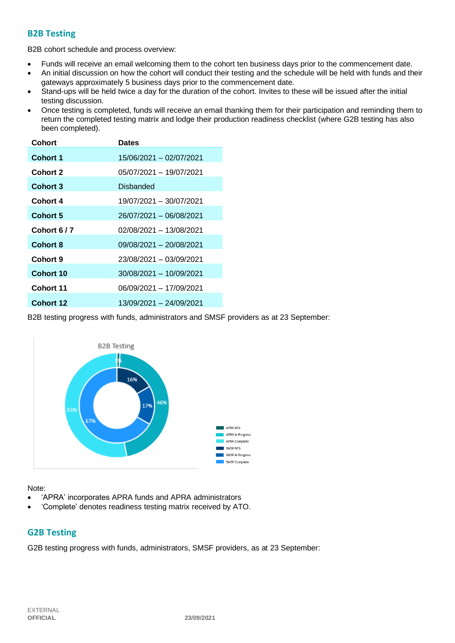## **B2B Testing**

B2B cohort schedule and process overview:

- Funds will receive an email welcoming them to the cohort ten business days prior to the commencement date.
- An initial discussion on how the cohort will conduct their testing and the schedule will be held with funds and their gateways approximately 5 business days prior to the commencement date.
- Stand-ups will be held twice a day for the duration of the cohort. Invites to these will be issued after the initial testing discussion.
- Once testing is completed, funds will receive an email thanking them for their participation and reminding them to return the completed testing matrix and lodge their production readiness checklist (where G2B testing has also been completed).

| <b>Dates</b>            |
|-------------------------|
| 15/06/2021 - 02/07/2021 |
| 05/07/2021 - 19/07/2021 |
| Disbanded               |
| 19/07/2021 - 30/07/2021 |
| 26/07/2021 - 06/08/2021 |
| 02/08/2021 - 13/08/2021 |
| 09/08/2021 - 20/08/2021 |
| 23/08/2021 - 03/09/2021 |
| 30/08/2021 - 10/09/2021 |
| 06/09/2021 - 17/09/2021 |
| 13/09/2021 - 24/09/2021 |
|                         |

B2B testing progress with funds, administrators and SMSF providers as at 23 September:



Note:

- 'APRA' incorporates APRA funds and APRA administrators
- 'Complete' denotes readiness testing matrix received by ATO.

## **G2B Testing**

G2B testing progress with funds, administrators, SMSF providers, as at 23 September: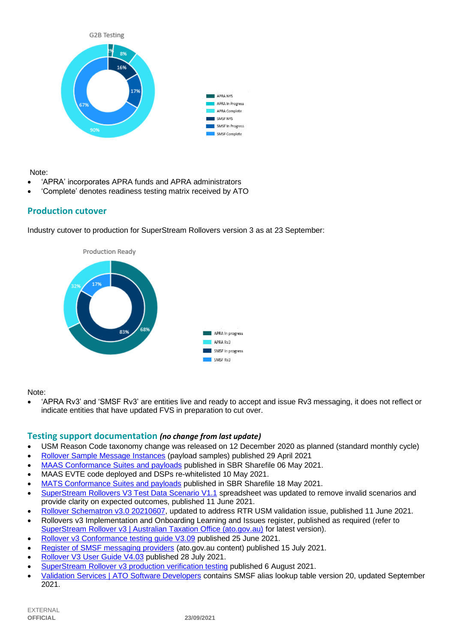

#### Note:

- 'APRA' incorporates APRA funds and APRA administrators
- 'Complete' denotes readiness testing matrix received by ATO

## **Production cutover**

Industry cutover to production for SuperStream Rollovers version 3 as at 23 September:



Note:

• 'APRA Rv3' and 'SMSF Rv3' are entities live and ready to accept and issue Rv3 messaging, it does not reflect or indicate entities that have updated FVS in preparation to cut over.

## **Testing support documentation** *(no change from last update)*

- USM Reason Code taxonomy change was released on 12 December 2020 as planned (standard monthly cycle)
- [Rollover Sample Message Instances](https://softwaredevelopers.ato.gov.au/rolloverV3) (payload samples) published 29 April 2021
- [MAAS Conformance Suites and payloads](https://standardbusinessreporting.sharefile.com/home/shared/fod63f12-7bbb-4c61-96e7-33dc9eae4d9a) published in SBR Sharefile 06 May 2021.
- MAAS EVTE code deployed and DSPs re-whitelisted 10 May 2021.
- [MATS Conformance Suites and payloads](http://standardbusinessreporting.sharefile.com/) published in SBR Sharefile 18 May 2021.
- [SuperStream Rollovers V3 Test Data Scenario V1.1](https://softwaredevelopers.ato.gov.au/sites/default/files/2021-06/SuperStream_RolloversV3_Test_Data_Scenario_V1.1-1.xlsx) spreadsheet was updated to remove invalid scenarios and provide clarity on expected outcomes, published 11 June 2021.
- [Rollover Schematron v3.0 20210607,](https://softwaredevelopers.ato.gov.au/sites/default/files/2021-06/Rollover_SPRROL.0003_Schematron_20210607-1.zip) updated to address RTR USM validation issue, published 11 June 2021.
- Rollovers v3 Implementation and Onboarding Learning and Issues register, published as required (refer to [SuperStream Rollover v3 | Australian Taxation Office \(ato.gov.au\)](https://www.ato.gov.au/Super/Sup/SuperStream-Rollover-v3/) for latest version).
- [Rollover v3 Conformance testing guide V3.09](https://softwaredevelopers.ato.gov.au/sites/default/files/2021-06/Rollover_V3_Conformance_Testing_Guide_version_3.09_Final.pdf) published 25 June 2021.
- [Register of SMSF messaging providers](https://www.ato.gov.au/Super/SuperStream/Self-managed-super-funds/Electronic-service-address/Register-of-SMSF-messaging-providers/) (ato.gov.au content) published 15 July 2021.
- [Rollover V3 User Guide V4.03](https://softwaredevelopers.ato.gov.au/sites/default/files/2021-07/Rollover_v3_User_Guide_V4.03_Final.pdf) published 28 July 2021.
- [SuperStream Rollover v3 production verification testing](https://www.ato.gov.au/uploadedFiles/Content/SPR/downloads/SuperStream_Rollover_v3_production_verification_testing.pdf) published 6 August 2021.
- [Validation Services | ATO Software Developers](https://softwaredevelopers.ato.gov.au/supervalidationservices) contains SMSF alias lookup table version 20, updated September 2021.